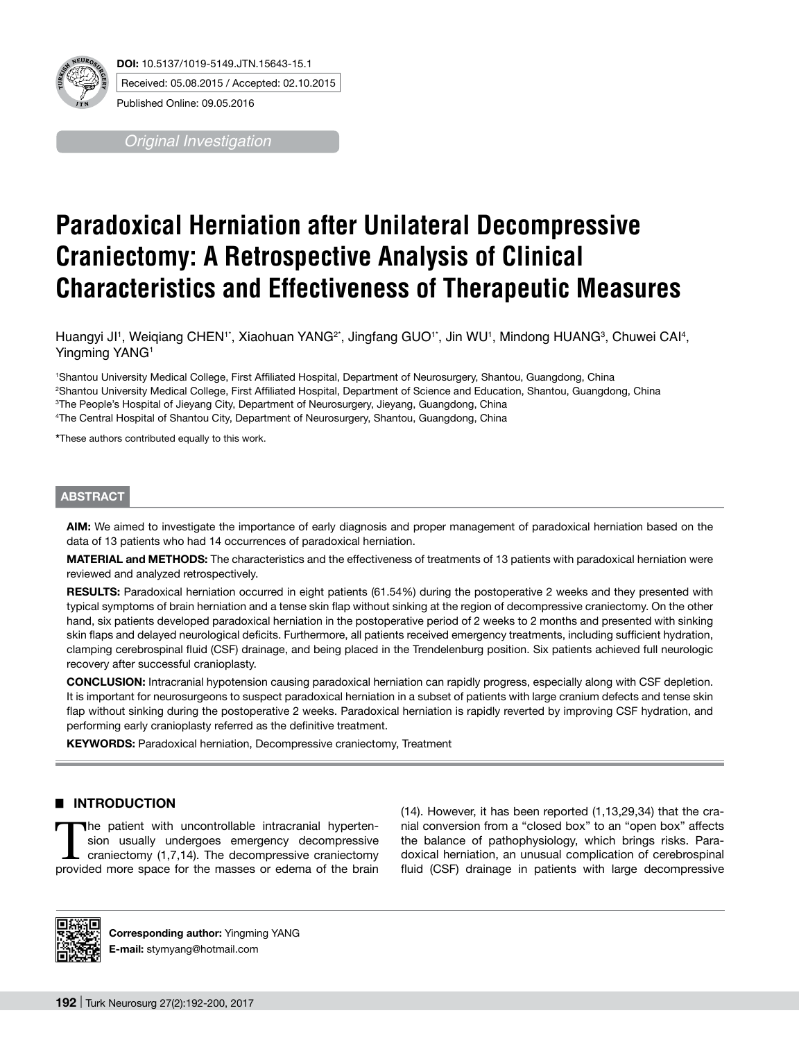

*Original Investigation*

# **Paradoxical Herniation after Unilateral Decompressive Craniectomy: A Retrospective Analysis of Clinical Characteristics and Effectiveness of Therapeutic Measures**

Huangyi JI1, Weiqiang CHEN'`, Xiaohuan YANG<sup>2</sup>`, Jingfang GUO'`, Jin WU', Mindong HUANG<sup>3</sup>, Chuwei CAl<sup>4</sup>, Yingming YANG<sup>1</sup>

 Shantou University Medical College, First Affiliated Hospital, Department of Neurosurgery, Shantou, Guangdong, China Shantou University Medical College, First Affiliated Hospital, Department of Science and Education, Shantou, Guangdong, China The People's Hospital of Jieyang City, Department of Neurosurgery, Jieyang, Guangdong, China The Central Hospital of Shantou City, Department of Neurosurgery, Shantou, Guangdong, China

**\***These authors contributed equally to this work.

## **ABSTRACT**

**AIm:** We aimed to investigate the importance of early diagnosis and proper management of paradoxical herniation based on the data of 13 patients who had 14 occurrences of paradoxical herniation.

**MaterIal and Methods:** The characteristics and the effectiveness of treatments of 13 patients with paradoxical herniation were reviewed and analyzed retrospectively.

**RESULTS:** Paradoxical herniation occurred in eight patients (61.54%) during the postoperative 2 weeks and they presented with typical symptoms of brain herniation and a tense skin flap without sinking at the region of decompressive craniectomy. On the other hand, six patients developed paradoxical herniation in the postoperative period of 2 weeks to 2 months and presented with sinking skin flaps and delayed neurological deficits. Furthermore, all patients received emergency treatments, including sufficient hydration, clamping cerebrospinal fluid (CSF) drainage, and being placed in the Trendelenburg position. Six patients achieved full neurologic recovery after successful cranioplasty.

**ConclusIon:** Intracranial hypotension causing paradoxical herniation can rapidly progress, especially along with CSF depletion. It is important for neurosurgeons to suspect paradoxical herniation in a subset of patients with large cranium defects and tense skin flap without sinking during the postoperative 2 weeks. Paradoxical herniation is rapidly reverted by improving CSF hydration, and performing early cranioplasty referred as the definitive treatment.

KEYWORDS: Paradoxical herniation, Decompressive craniectomy, Treatment

## █ **INTRODUCTION**

The patient with uncontrollable intracranial hypertension usually undergoes emergency decompressive craniectomy (1,7,14). The decompressive craniectomy provided more space for the masses or edema of the brain (14). However, it has been reported (1,13,29,34) that the cranial conversion from a "closed box" to an "open box" affects the balance of pathophysiology, which brings risks. Paradoxical herniation, an unusual complication of cerebrospinal fluid (CSF) drainage in patients with large decompressive



**Corresponding author:** Yingming YANG **E-mail:** stymyang@hotmail.com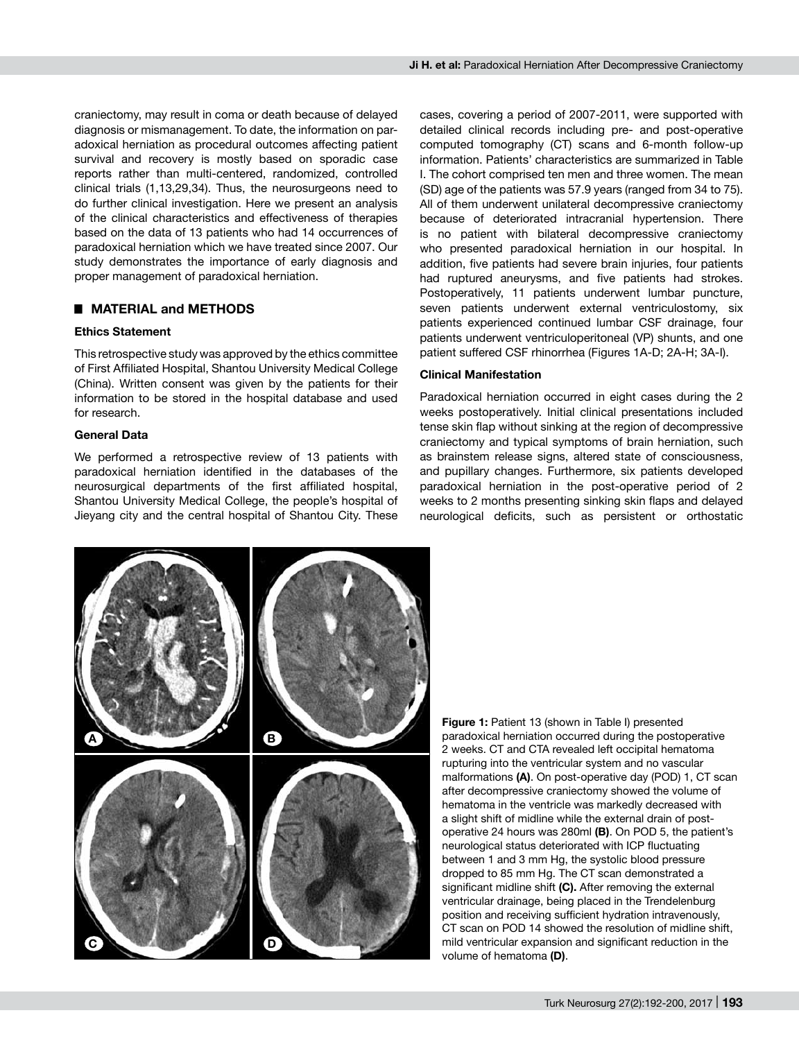craniectomy, may result in coma or death because of delayed diagnosis or mismanagement. To date, the information on paradoxical herniation as procedural outcomes affecting patient survival and recovery is mostly based on sporadic case reports rather than multi-centered, randomized, controlled clinical trials (1,13,29,34). Thus, the neurosurgeons need to do further clinical investigation. Here we present an analysis of the clinical characteristics and effectiveness of therapies based on the data of 13 patients who had 14 occurrences of paradoxical herniation which we have treated since 2007. Our study demonstrates the importance of early diagnosis and proper management of paradoxical herniation.

## █ **MATERIAL and METHODS**

#### **Ethics Statement**

This retrospective study was approved by the ethics committee of First Affiliated Hospital, Shantou University Medical College (China). Written consent was given by the patients for their information to be stored in the hospital database and used for research.

## **General Data**

We performed a retrospective review of 13 patients with paradoxical herniation identified in the databases of the neurosurgical departments of the first affiliated hospital, Shantou University Medical College, the people's hospital of Jieyang city and the central hospital of Shantou City. These cases, covering a period of 2007-2011, were supported with detailed clinical records including pre- and post-operative computed tomography (CT) scans and 6-month follow-up information. Patients' characteristics are summarized in Table I. The cohort comprised ten men and three women. The mean (SD) age of the patients was 57.9 years (ranged from 34 to 75). All of them underwent unilateral decompressive craniectomy because of deteriorated intracranial hypertension. There is no patient with bilateral decompressive craniectomy who presented paradoxical herniation in our hospital. In addition, five patients had severe brain injuries, four patients had ruptured aneurysms, and five patients had strokes. Postoperatively, 11 patients underwent lumbar puncture, seven patients underwent external ventriculostomy, six patients experienced continued lumbar CSF drainage, four patients underwent ventriculoperitoneal (VP) shunts, and one patient suffered CSF rhinorrhea (Figures 1A-D; 2A-H; 3A-I).

## **Clinical Manifestation**

Paradoxical herniation occurred in eight cases during the 2 weeks postoperatively. Initial clinical presentations included tense skin flap without sinking at the region of decompressive craniectomy and typical symptoms of brain herniation, such as brainstem release signs, altered state of consciousness, and pupillary changes. Furthermore, six patients developed paradoxical herniation in the post-operative period of 2 weeks to 2 months presenting sinking skin flaps and delayed neurological deficits, such as persistent or orthostatic



**Figure 1:** Patient 13 (shown in Table I) presented paradoxical herniation occurred during the postoperative 2 weeks. CT and CTA revealed left occipital hematoma rupturing into the ventricular system and no vascular malformations **(A)**. On post-operative day (POD) 1, CT scan after decompressive craniectomy showed the volume of hematoma in the ventricle was markedly decreased with a slight shift of midline while the external drain of postoperative 24 hours was 280ml **(B)**. On POD 5, the patient's neurological status deteriorated with ICP fluctuating between 1 and 3 mm Hg, the systolic blood pressure dropped to 85 mm Hg. The CT scan demonstrated a significant midline shift **(C).** After removing the external ventricular drainage, being placed in the Trendelenburg position and receiving sufficient hydration intravenously, CT scan on POD 14 showed the resolution of midline shift, mild ventricular expansion and significant reduction in the volume of hematoma **(D)**.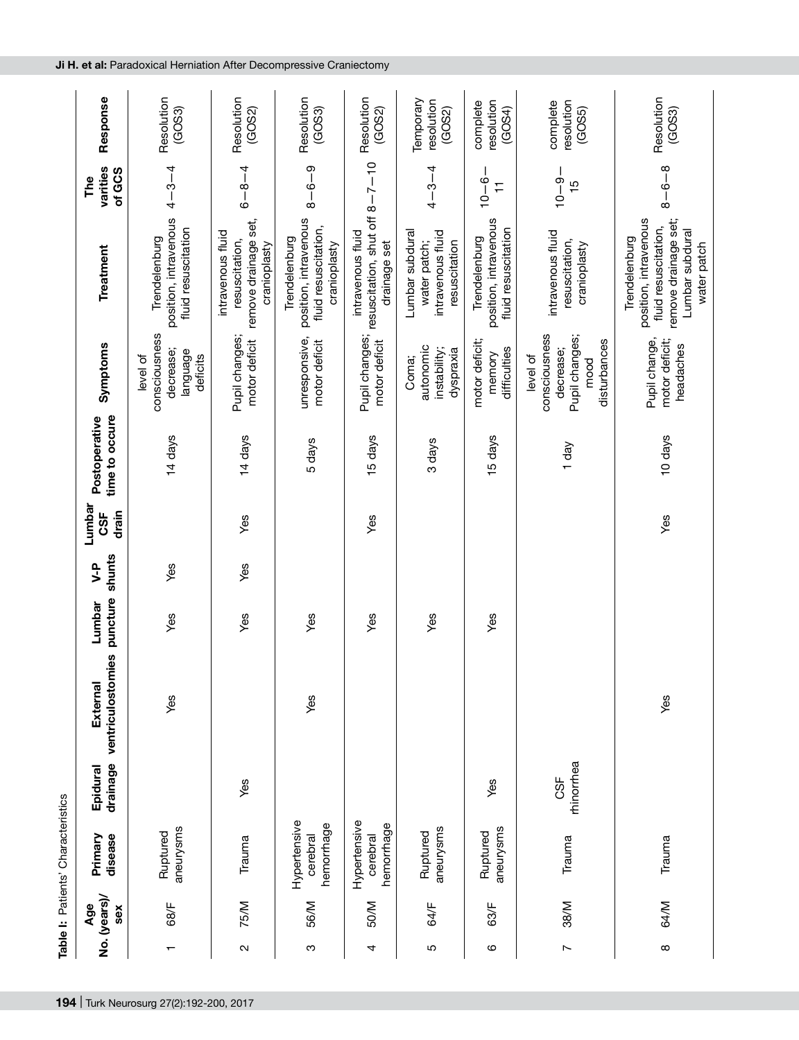| Response                        | Resolution<br>(GOS3)                                           | Resolution<br>(GOS2)                                                        | Resolution<br>(GOS3)                                                           | Resolution<br>(GOS2)                                                  | Temporary<br>resolution<br>(GOS2)                                     | resolution<br>complete<br>(GOS4)                              | resolution<br>complete<br>(GOS5)                                                 | Resolution<br>(GOS3)                                                                                                     |
|---------------------------------|----------------------------------------------------------------|-----------------------------------------------------------------------------|--------------------------------------------------------------------------------|-----------------------------------------------------------------------|-----------------------------------------------------------------------|---------------------------------------------------------------|----------------------------------------------------------------------------------|--------------------------------------------------------------------------------------------------------------------------|
| varities<br>of GCS<br>The       | $4 - 3 - 4$                                                    | $6 - 8 - 4$                                                                 | $8 - 6 - 9$                                                                    |                                                                       | $4 - 3 - 4$                                                           | $10 - 6$<br>H                                                 | $10 - 9$<br>$\frac{15}{1}$                                                       | $8 - 6 - 8$                                                                                                              |
| Treatment                       | position, intravenous<br>fluid resuscitation<br>Trendelenburg  | remove drainage set,<br>intravenous fluid<br>resuscitation,<br>cranioplasty | position, intravenous<br>fluid resuscitation,<br>Trendelenburg<br>cranioplasty | resuscitation, shut off $8-7-10$<br>intravenous fluid<br>drainage set | Lumbar subdural<br>intravenous fluid<br>water patch;<br>resuscitation | position, intravenous<br>fluid resuscitation<br>Trendelenburg | intravenous fluid<br>resuscitation,<br>cranioplasty                              | remove drainage set;<br>position, intravenous<br>fluid resuscitation,<br>Lumbar subdural<br>Trendelenburg<br>water patch |
| Symptoms                        | consciousness<br>decrease;<br>language<br>level of<br>deficits | Pupil changes;<br>motor deficit                                             | unresponsive,<br>motor deficit                                                 | Pupil changes;<br>motor deficit                                       | autonomic<br>instability;<br>dyspraxia<br>Coma;                       | motor deficit;<br>difficulties<br>memory                      | consciousness<br>Pupil changes;<br>disturbances<br>decrease;<br>level of<br>mood | Pupil change,<br>motor deficit;<br>headaches                                                                             |
| time to occure<br>Postoperative | 14 days                                                        | 14 days                                                                     | 5 days                                                                         | 15 days                                                               | 3 days                                                                | 15 days                                                       | 1 day                                                                            | 10 days                                                                                                                  |
| Lumbar<br>drain<br>CSF          |                                                                | Yes                                                                         |                                                                                | Yes                                                                   |                                                                       |                                                               |                                                                                  | Yes                                                                                                                      |
| shunts<br>y-P                   | Yes                                                            | Yes                                                                         |                                                                                |                                                                       |                                                                       |                                                               |                                                                                  |                                                                                                                          |
| puncture<br>Lumbar              | yes                                                            | Yes                                                                         | Yes                                                                            | Yes                                                                   | Yes                                                                   | Yes                                                           |                                                                                  |                                                                                                                          |
| ventriculostomies<br>External   | Yes                                                            |                                                                             | Yes                                                                            |                                                                       |                                                                       |                                                               |                                                                                  | Yes                                                                                                                      |
| drainage<br>Epidural            |                                                                | Yes                                                                         |                                                                                |                                                                       |                                                                       | Yes                                                           | rhinorrhea<br>CSF                                                                |                                                                                                                          |
| disease<br>Primary              | aneurysms<br>Ruptured                                          | Trauma                                                                      | Hypertensive<br>hemorrhage<br>cerebral                                         | Hypertensive<br>hemorrhage<br>cerebral                                | aneurysms<br>Ruptured                                                 | aneurysms<br>Ruptured                                         | Trauma                                                                           | Trauma                                                                                                                   |
| No. (years)<br>Age<br>sex       | 68/F                                                           | 75/M                                                                        | 56/M                                                                           | 50/M                                                                  | 64/F                                                                  | 63/F                                                          | 38/M                                                                             | 64/M                                                                                                                     |
|                                 | ↽                                                              | $\mathbf{\Omega}$                                                           | ო                                                                              | 4                                                                     | Ю                                                                     | ဖ                                                             | $\sim$                                                                           | ${}^{\circ}$                                                                                                             |

**194** | Turk Neurosurg 27(2):192-200, 2017

**Table I:** Patients' Characteristics

Table I: Patients' Characteristics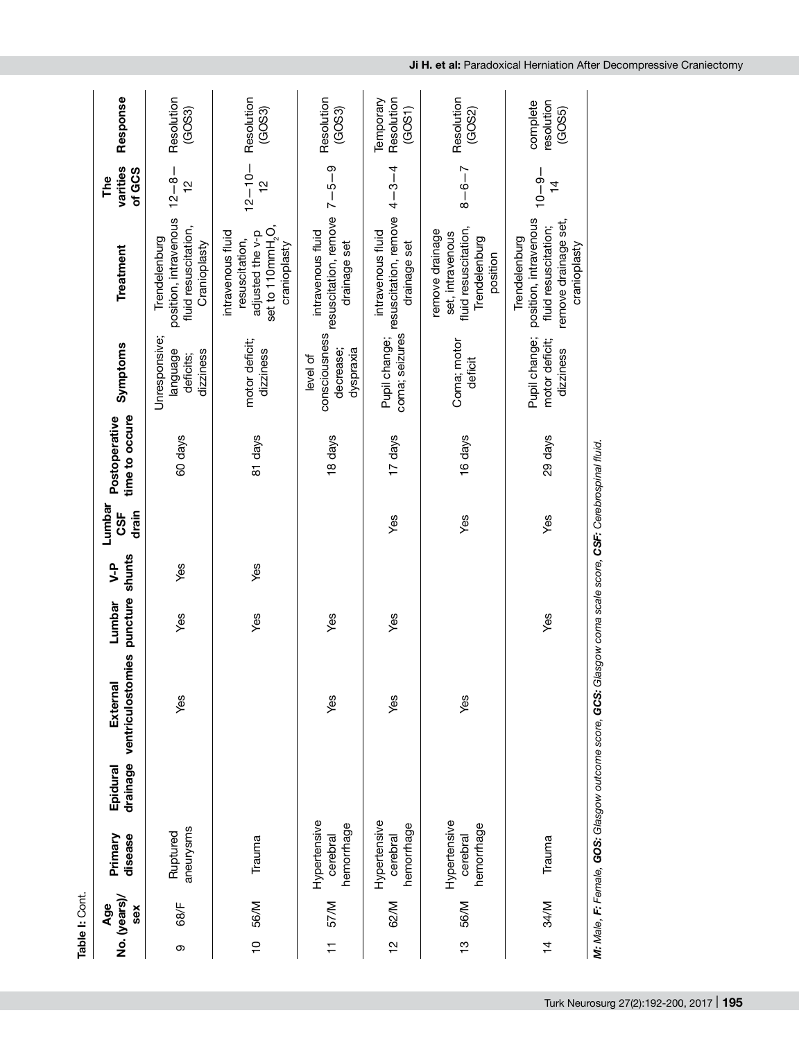|               | Table I: Cont.             |                                        |                      |                                                                                                           |                    |               |                              |                                 |                                                     |                                                                                                          |                              |                                   |
|---------------|----------------------------|----------------------------------------|----------------------|-----------------------------------------------------------------------------------------------------------|--------------------|---------------|------------------------------|---------------------------------|-----------------------------------------------------|----------------------------------------------------------------------------------------------------------|------------------------------|-----------------------------------|
|               | No. (years)/<br>Age<br>sex | Primary<br>disease                     | drainage<br>Epidural | mies<br>ventriculostor<br>External                                                                        | puncture<br>Lumbar | shunts<br>y-P | Lumbar<br>drain<br><b>SF</b> | time to occure<br>Postoperative | Symptoms                                            | Treatment                                                                                                | varities<br>of GCS<br>The    | Response                          |
| თ             | 68/F                       | aneurysms<br>Ruptured                  |                      | Yes                                                                                                       | Yes                | Yes           |                              | 60 days                         | Unresponsive;<br>language<br>dizziness<br>deficits; | position, intravenous<br>fluid resuscitation,<br>Trendelenburg<br>Cranioplasty                           | $12 - 8 -$<br>$\frac{1}{2}$  | Resolution<br>(GOS3)              |
|               | 10 56/M                    | Trauma                                 |                      |                                                                                                           | Yes                | yes           |                              | 81 days                         | motor deficit;<br>dizziness                         | set to 110mmH <sub>2</sub> O,<br>adjusted the v-p<br>intravenous fluid<br>resuscitation,<br>cranioplasty | $12 - 10 -$<br>$\frac{1}{2}$ | Resolution<br>(GOS3)              |
| $\frac{1}{1}$ | <b>M/LS</b>                | Hypertensive<br>hemorrhage<br>cerebral |                      | Yes                                                                                                       | Yes                |               |                              | 18 days                         | consciousness<br>dyspraxia<br>decrease;<br>level of | resuscitation, remove $7-5-9$<br>intravenous fluid<br>drainage set                                       |                              | Resolution<br>(GOS3)              |
| $\frac{1}{2}$ | 62/M                       | Hypertensive<br>hemorrhage<br>cerebral |                      | Yes                                                                                                       | Yes                |               | Yes                          | 17 days                         | coma; seizures<br>Pupil change;                     | resuscitation, remove<br>intravenous fluid<br>drainage set                                               | $4 - 3 - 4$                  | Temporary<br>Resolution<br>(GOS1) |
| $\frac{1}{2}$ | 56/M                       | Hypertensive<br>hemorrhage<br>cerebral |                      | Yes                                                                                                       |                    |               | Yes                          | 16 days                         | Coma; motor<br>deficit                              | fluid resuscitation,<br>remove drainage<br>set, intravenous<br>Trendelenburg<br>position                 | $8 - 6 - 7$                  | Resolution<br>(GOS2)              |
| $\frac{4}{4}$ | 34/M                       | Trauma                                 |                      |                                                                                                           | Yes                |               | Yes                          | 29 days                         | Pupil change;<br>motor deficit;<br>dizziness        | position, intravenous<br>remove drainage set,<br>fluid resuscitation;<br>Trendelenburg<br>cranioplasty   | $-9 - 01$<br>$\frac{4}{1}$   | resolution<br>complete<br>(GOS5)  |
|               |                            |                                        |                      | M: Male, F: Fernale, GOS: Glasgow outcome score, GCS: Glasgow coma scale score, CSF: Cerebrospinal fluid. |                    |               |                              |                                 |                                                     |                                                                                                          |                              |                                   |

**Ji H. et al:** Paradoxical Herniation After Decompressive Craniectomy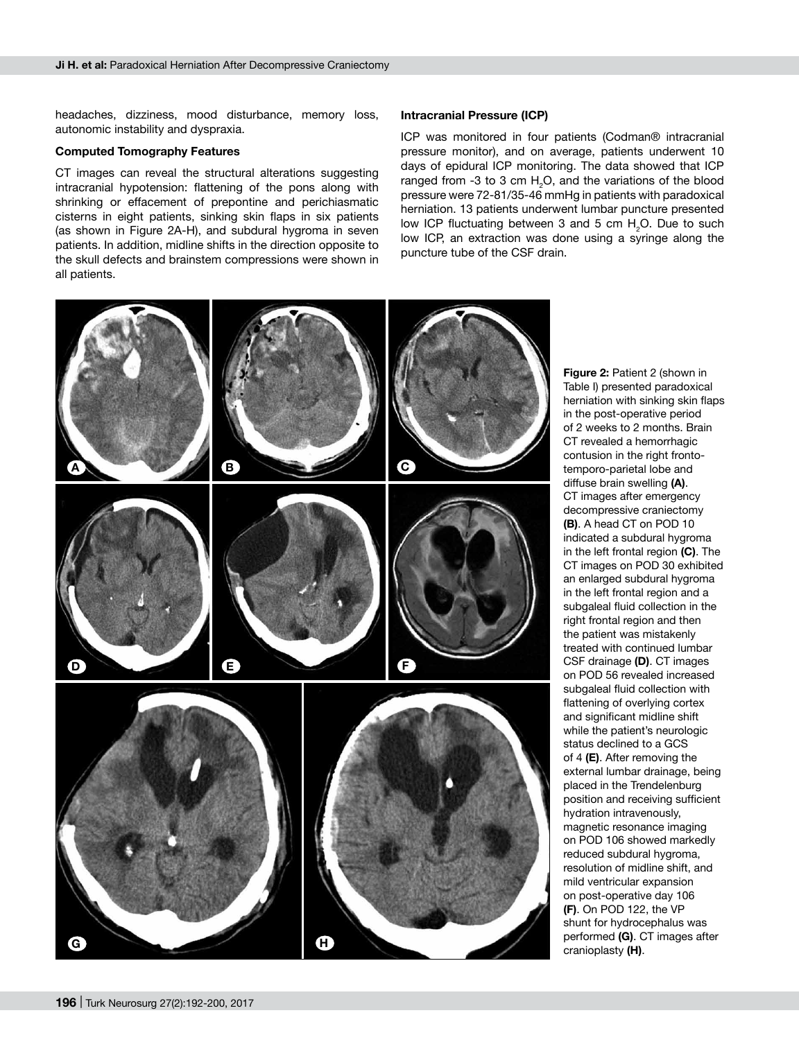headaches, dizziness, mood disturbance, memory loss, autonomic instability and dyspraxia.

#### **Computed Tomography Features**

CT images can reveal the structural alterations suggesting intracranial hypotension: flattening of the pons along with shrinking or effacement of prepontine and perichiasmatic cisterns in eight patients, sinking skin flaps in six patients (as shown in Figure 2A-H), and subdural hygroma in seven patients. In addition, midline shifts in the direction opposite to the skull defects and brainstem compressions were shown in all patients.

#### **Intracranial Pressure (ICP)**

ICP was monitored in four patients (Codman® intracranial pressure monitor), and on average, patients underwent 10 days of epidural ICP monitoring. The data showed that ICP ranged from -3 to 3 cm  $H_2O$ , and the variations of the blood pressure were 72-81/35-46 mmHg in patients with paradoxical herniation. 13 patients underwent lumbar puncture presented low ICP fluctuating between 3 and 5 cm  $H_2O$ . Due to such low ICP, an extraction was done using a syringe along the puncture tube of the CSF drain.



Table I) presented paradoxical herniation with sinking skin flaps in the post-operative period of 2 weeks to 2 months. Brain CT revealed a hemorrhagic contusion in the right frontotemporo-parietal lobe and diffuse brain swelling **(A)**. CT images after emergency decompressive craniectomy **(B)**. A head CT on POD 10 indicated a subdural hygroma in the left frontal region **(C)**. The CT images on POD 30 exhibited an enlarged subdural hygroma in the left frontal region and a subgaleal fluid collection in the right frontal region and then the patient was mistakenly treated with continued lumbar CSF drainage **(D)**. CT images on POD 56 revealed increased subgaleal fluid collection with flattening of overlying cortex and significant midline shift while the patient's neurologic status declined to a GCS of 4 **(E)**. After removing the external lumbar drainage, being placed in the Trendelenburg position and receiving sufficient hydration intravenously, magnetic resonance imaging on POD 106 showed markedly reduced subdural hygroma, resolution of midline shift, and mild ventricular expansion on post-operative day 106 **(F)**. On POD 122, the VP shunt for hydrocephalus was performed **(G)**. CT images after cranioplasty **(H)**.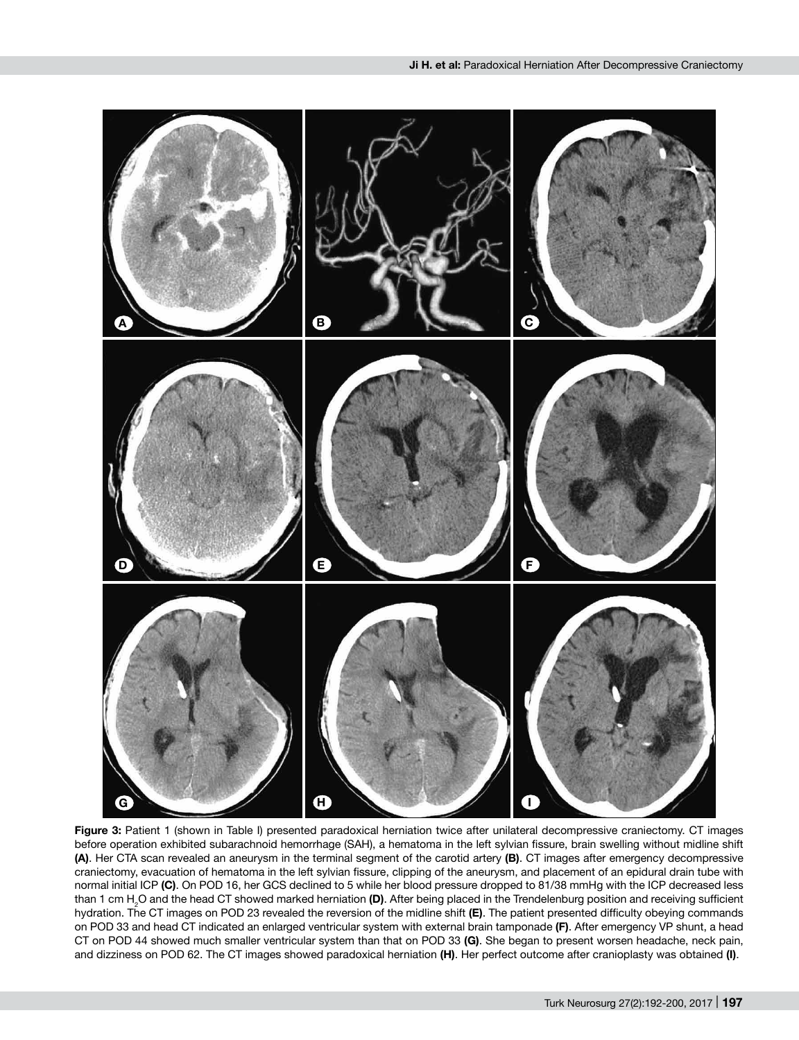

**Figure 3:** Patient 1 (shown in Table I) presented paradoxical herniation twice after unilateral decompressive craniectomy. CT images before operation exhibited subarachnoid hemorrhage (SAH), a hematoma in the left sylvian fissure, brain swelling without midline shift **(A)**. Her CTA scan revealed an aneurysm in the terminal segment of the carotid artery **(B)**. CT images after emergency decompressive craniectomy, evacuation of hematoma in the left sylvian fissure, clipping of the aneurysm, and placement of an epidural drain tube with normal initial ICP **(C)**. On POD 16, her GCS declined to 5 while her blood pressure dropped to 81/38 mmHg with the ICP decreased less than 1 cm H2 O and the head CT showed marked herniation **(D)**. After being placed in the Trendelenburg position and receiving sufficient hydration. The CT images on POD 23 revealed the reversion of the midline shift **(E)**. The patient presented difficulty obeying commands on POD 33 and head CT indicated an enlarged ventricular system with external brain tamponade **(F)**. After emergency VP shunt, a head CT on POD 44 showed much smaller ventricular system than that on POD 33 **(G)**. She began to present worsen headache, neck pain, and dizziness on POD 62. The CT images showed paradoxical herniation **(H)**. Her perfect outcome after cranioplasty was obtained **(I)**.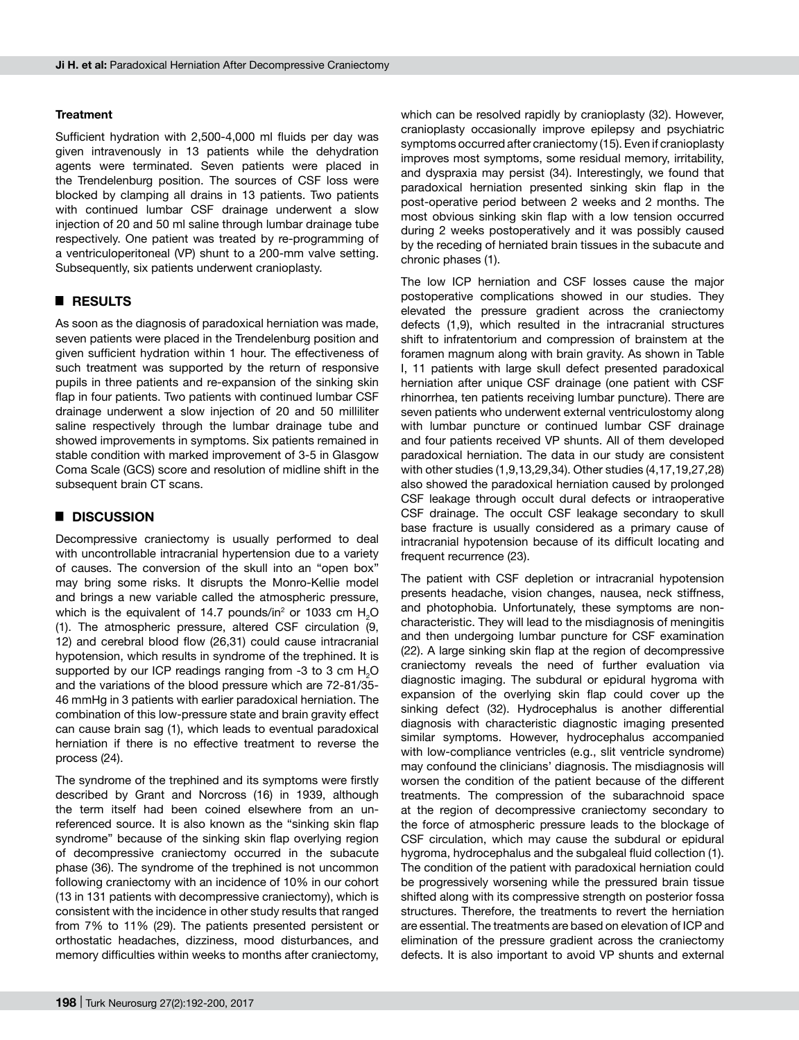#### **Treatment**

Sufficient hydration with 2,500-4,000 ml fluids per day was given intravenously in 13 patients while the dehydration agents were terminated. Seven patients were placed in the Trendelenburg position. The sources of CSF loss were blocked by clamping all drains in 13 patients. Two patients with continued lumbar CSF drainage underwent a slow injection of 20 and 50 ml saline through lumbar drainage tube respectively. One patient was treated by re-programming of a ventriculoperitoneal (VP) shunt to a 200-mm valve setting. Subsequently, six patients underwent cranioplasty.

# █ **RESULTS**

As soon as the diagnosis of paradoxical herniation was made, seven patients were placed in the Trendelenburg position and given sufficient hydration within 1 hour. The effectiveness of such treatment was supported by the return of responsive pupils in three patients and re-expansion of the sinking skin flap in four patients. Two patients with continued lumbar CSF drainage underwent a slow injection of 20 and 50 milliliter saline respectively through the lumbar drainage tube and showed improvements in symptoms. Six patients remained in stable condition with marked improvement of 3-5 in Glasgow Coma Scale (GCS) score and resolution of midline shift in the subsequent brain CT scans.

## █ **DISCUSSION**

Decompressive craniectomy is usually performed to deal with uncontrollable intracranial hypertension due to a variety of causes. The conversion of the skull into an "open box" may bring some risks. It disrupts the Monro-Kellie model and brings a new variable called the atmospheric pressure, which is the equivalent of 14.7 pounds/in<sup>2</sup> or 1033 cm  $H<sub>2</sub>O$ (1). The atmospheric pressure, altered CSF circulation (9, 12) and cerebral blood flow (26,31) could cause intracranial hypotension, which results in syndrome of the trephined. It is supported by our ICP readings ranging from -3 to 3 cm  $H_2O$ and the variations of the blood pressure which are 72-81/35- 46 mmHg in 3 patients with earlier paradoxical herniation. The combination of this low-pressure state and brain gravity effect can cause brain sag (1), which leads to eventual paradoxical herniation if there is no effective treatment to reverse the process (24).

The syndrome of the trephined and its symptoms were firstly described by Grant and Norcross (16) in 1939, although the term itself had been coined elsewhere from an unreferenced source. It is also known as the "sinking skin flap syndrome" because of the sinking skin flap overlying region of decompressive craniectomy occurred in the subacute phase (36). The syndrome of the trephined is not uncommon following craniectomy with an incidence of 10% in our cohort (13 in 131 patients with decompressive craniectomy), which is consistent with the incidence in other study results that ranged from 7% to 11% (29). The patients presented persistent or orthostatic headaches, dizziness, mood disturbances, and memory difficulties within weeks to months after craniectomy,

which can be resolved rapidly by cranioplasty (32). However, cranioplasty occasionally improve epilepsy and psychiatric symptoms occurred after craniectomy (15). Even if cranioplasty improves most symptoms, some residual memory, irritability, and dyspraxia may persist (34). Interestingly, we found that paradoxical herniation presented sinking skin flap in the post-operative period between 2 weeks and 2 months. The most obvious sinking skin flap with a low tension occurred during 2 weeks postoperatively and it was possibly caused by the receding of herniated brain tissues in the subacute and chronic phases (1).

The low ICP herniation and CSF losses cause the major postoperative complications showed in our studies. They elevated the pressure gradient across the craniectomy defects (1,9), which resulted in the intracranial structures shift to infratentorium and compression of brainstem at the foramen magnum along with brain gravity. As shown in Table I, 11 patients with large skull defect presented paradoxical herniation after unique CSF drainage (one patient with CSF rhinorrhea, ten patients receiving lumbar puncture). There are seven patients who underwent external ventriculostomy along with lumbar puncture or continued lumbar CSF drainage and four patients received VP shunts. All of them developed paradoxical herniation. The data in our study are consistent with other studies (1,9,13,29,34). Other studies (4,17,19,27,28) also showed the paradoxical herniation caused by prolonged CSF leakage through occult dural defects or intraoperative CSF drainage. The occult CSF leakage secondary to skull base fracture is usually considered as a primary cause of intracranial hypotension because of its difficult locating and frequent recurrence (23).

The patient with CSF depletion or intracranial hypotension presents headache, vision changes, nausea, neck stiffness, and photophobia. Unfortunately, these symptoms are noncharacteristic. They will lead to the misdiagnosis of meningitis and then undergoing lumbar puncture for CSF examination (22). A large sinking skin flap at the region of decompressive craniectomy reveals the need of further evaluation via diagnostic imaging. The subdural or epidural hygroma with expansion of the overlying skin flap could cover up the sinking defect (32). Hydrocephalus is another differential diagnosis with characteristic diagnostic imaging presented similar symptoms. However, hydrocephalus accompanied with low-compliance ventricles (e.g., slit ventricle syndrome) may confound the clinicians' diagnosis. The misdiagnosis will worsen the condition of the patient because of the different treatments. The compression of the subarachnoid space at the region of decompressive craniectomy secondary to the force of atmospheric pressure leads to the blockage of CSF circulation, which may cause the subdural or epidural hygroma, hydrocephalus and the subgaleal fluid collection (1). The condition of the patient with paradoxical herniation could be progressively worsening while the pressured brain tissue shifted along with its compressive strength on posterior fossa structures. Therefore, the treatments to revert the herniation are essential. The treatments are based on elevation of ICP and elimination of the pressure gradient across the craniectomy defects. It is also important to avoid VP shunts and external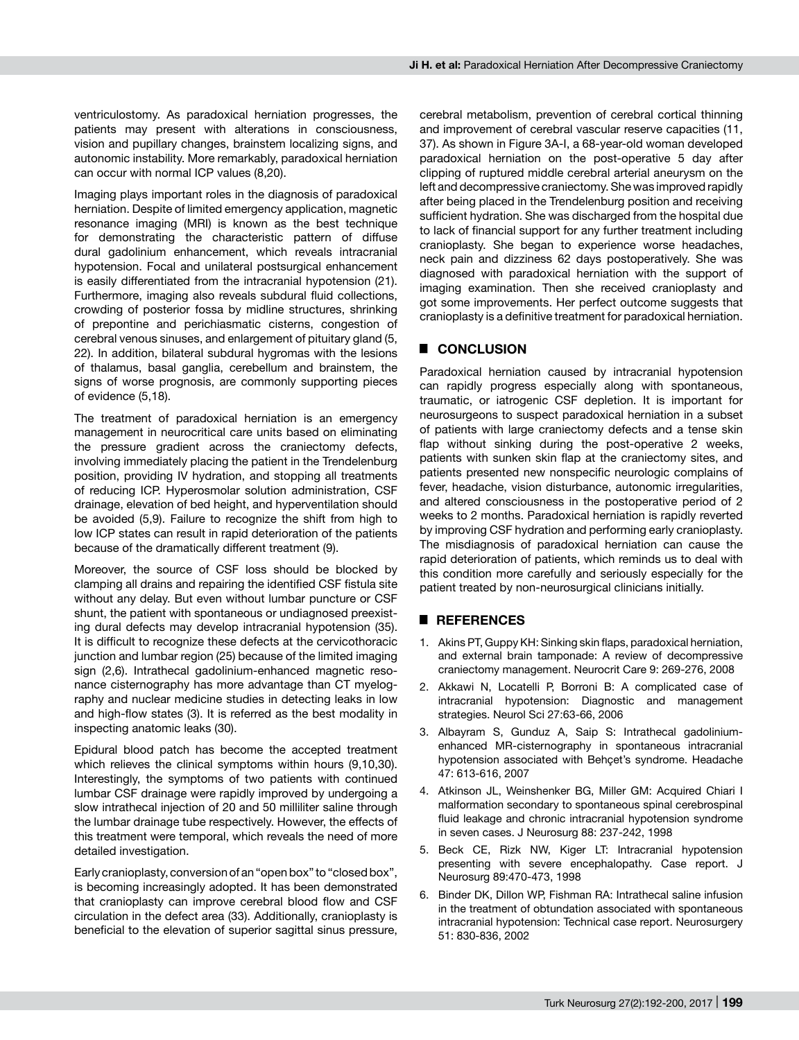ventriculostomy. As paradoxical herniation progresses, the patients may present with alterations in consciousness, vision and pupillary changes, brainstem localizing signs, and autonomic instability. More remarkably, paradoxical herniation can occur with normal ICP values (8,20).

Imaging plays important roles in the diagnosis of paradoxical herniation. Despite of limited emergency application, magnetic resonance imaging (MRI) is known as the best technique for demonstrating the characteristic pattern of diffuse dural gadolinium enhancement, which reveals intracranial hypotension. Focal and unilateral postsurgical enhancement is easily differentiated from the intracranial hypotension (21). Furthermore, imaging also reveals subdural fluid collections, crowding of posterior fossa by midline structures, shrinking of prepontine and perichiasmatic cisterns, congestion of cerebral venous sinuses, and enlargement of pituitary gland (5, 22). In addition, bilateral subdural hygromas with the lesions of thalamus, basal ganglia, cerebellum and brainstem, the signs of worse prognosis, are commonly supporting pieces of evidence (5,18).

The treatment of paradoxical herniation is an emergency management in neurocritical care units based on eliminating the pressure gradient across the craniectomy defects, involving immediately placing the patient in the Trendelenburg position, providing IV hydration, and stopping all treatments of reducing ICP. Hyperosmolar solution administration, CSF drainage, elevation of bed height, and hyperventilation should be avoided (5,9). Failure to recognize the shift from high to low ICP states can result in rapid deterioration of the patients because of the dramatically different treatment (9).

Moreover, the source of CSF loss should be blocked by clamping all drains and repairing the identified CSF fistula site without any delay. But even without lumbar puncture or CSF shunt, the patient with spontaneous or undiagnosed preexisting dural defects may develop intracranial hypotension (35). It is difficult to recognize these defects at the cervicothoracic junction and lumbar region (25) because of the limited imaging sign (2,6). Intrathecal gadolinium-enhanced magnetic resonance cisternography has more advantage than CT myelography and nuclear medicine studies in detecting leaks in low and high-flow states (3). It is referred as the best modality in inspecting anatomic leaks (30).

Epidural blood patch has become the accepted treatment which relieves the clinical symptoms within hours (9,10,30). Interestingly, the symptoms of two patients with continued lumbar CSF drainage were rapidly improved by undergoing a slow intrathecal injection of 20 and 50 milliliter saline through the lumbar drainage tube respectively. However, the effects of this treatment were temporal, which reveals the need of more detailed investigation.

Early cranioplasty, conversion of an "open box" to "closed box", is becoming increasingly adopted. It has been demonstrated that cranioplasty can improve cerebral blood flow and CSF circulation in the defect area (33). Additionally, cranioplasty is beneficial to the elevation of superior sagittal sinus pressure, cerebral metabolism, prevention of cerebral cortical thinning and improvement of cerebral vascular reserve capacities (11, 37). As shown in Figure 3A-I, a 68-year-old woman developed paradoxical herniation on the post-operative 5 day after clipping of ruptured middle cerebral arterial aneurysm on the left and decompressive craniectomy. She was improved rapidly after being placed in the Trendelenburg position and receiving sufficient hydration. She was discharged from the hospital due to lack of financial support for any further treatment including cranioplasty. She began to experience worse headaches, neck pain and dizziness 62 days postoperatively. She was diagnosed with paradoxical herniation with the support of imaging examination. Then she received cranioplasty and got some improvements. Her perfect outcome suggests that cranioplasty is a definitive treatment for paradoxical herniation.

# █ **CONCLUSION**

Paradoxical herniation caused by intracranial hypotension can rapidly progress especially along with spontaneous, traumatic, or iatrogenic CSF depletion. It is important for neurosurgeons to suspect paradoxical herniation in a subset of patients with large craniectomy defects and a tense skin flap without sinking during the post-operative 2 weeks, patients with sunken skin flap at the craniectomy sites, and patients presented new nonspecific neurologic complains of fever, headache, vision disturbance, autonomic irregularities, and altered consciousness in the postoperative period of 2 weeks to 2 months. Paradoxical herniation is rapidly reverted by improving CSF hydration and performing early cranioplasty. The misdiagnosis of paradoxical herniation can cause the rapid deterioration of patients, which reminds us to deal with this condition more carefully and seriously especially for the patient treated by non-neurosurgical clinicians initially.

## █ **REFERENCES**

- 1. Akins PT, Guppy KH: Sinking skin flaps, paradoxical herniation, and external brain tamponade: A review of decompressive craniectomy management. Neurocrit Care 9: 269-276, 2008
- 2. Akkawi N, Locatelli P, Borroni B: A complicated case of intracranial hypotension: Diagnostic and management strategies. Neurol Sci 27:63-66, 2006
- 3. Albayram S, Gunduz A, Saip S: Intrathecal gadoliniumenhanced MR-cisternography in spontaneous intracranial hypotension associated with Behçet's syndrome. Headache 47: 613-616, 2007
- 4. Atkinson JL, Weinshenker BG, Miller GM: Acquired Chiari I malformation secondary to spontaneous spinal cerebrospinal fluid leakage and chronic intracranial hypotension syndrome in seven cases. J Neurosurg 88: 237-242, 1998
- 5. Beck CE, Rizk NW, Kiger LT: Intracranial hypotension presenting with severe encephalopathy. Case report. J Neurosurg 89:470-473, 1998
- 6. Binder DK, Dillon WP, Fishman RA: Intrathecal saline infusion in the treatment of obtundation associated with spontaneous intracranial hypotension: Technical case report. Neurosurgery 51: 830-836, 2002